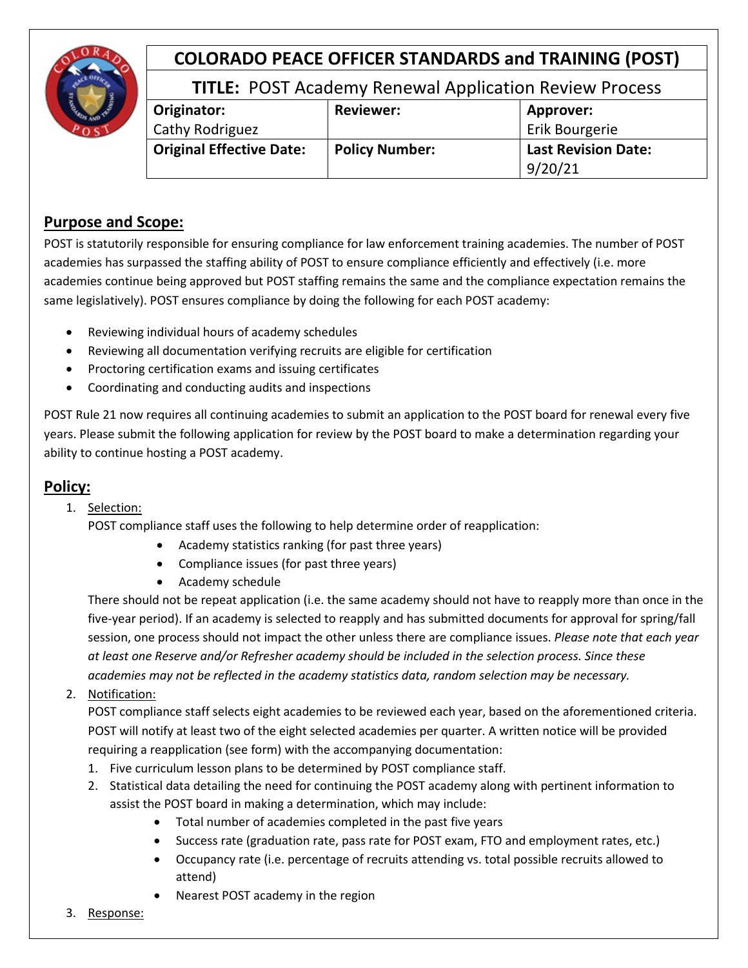

# **COLORADO PEACE OFFICER STANDARDS and TRAINING (POST)**

## **TITLE:** POST Academy Renewal Application Review Process

| Originator:                     | <b>Reviewer:</b>      | Approver:                  |
|---------------------------------|-----------------------|----------------------------|
| Cathy Rodriguez                 |                       | Erik Bourgerie             |
| <b>Original Effective Date:</b> | <b>Policy Number:</b> | <b>Last Revision Date:</b> |
|                                 |                       | 9/20/21                    |

### **Purpose and Scope:**

POST is statutorily responsible for ensuring compliance for law enforcement training academies. The number of POST academies has surpassed the staffing ability of POST to ensure compliance efficiently and effectively (i.e. more academies continue being approved but POST staffing remains the same and the compliance expectation remains the same legislatively). POST ensures compliance by doing the following for each POST academy:

- Reviewing individual hours of academy schedules
- Reviewing all documentation verifying recruits are eligible for certification
- Proctoring certification exams and issuing certificates
- Coordinating and conducting audits and inspections

POST Rule 21 now requires all continuing academies to submit an application to the POST board for renewal every five years. Please submit the following application for review by the POST board to make a determination regarding your ability to continue hosting a POST academy.

## **Policy:**

#### 1. Selection:

POST compliance staff uses the following to help determine order of reapplication:

- Academy statistics ranking (for past three years)
- Compliance issues (for past three years)
- Academy schedule

There should not be repeat application (i.e. the same academy should not have to reapply more than once in the five-year period). If an academy is selected to reapply and has submitted documents for approval for spring/fall session, one process should not impact the other unless there are compliance issues. *Please note that each year at least one Reserve and/or Refresher academy should be included in the selection process. Since these academies may not be reflected in the academy statistics data, random selection may be necessary.* 

2. Notification:

POST compliance staff selects eight academies to be reviewed each year, based on the aforementioned criteria. POST will notify at least two of the eight selected academies per quarter. A written notice will be provided requiring a reapplication (see form) with the accompanying documentation:

- 1. Five curriculum lesson plans to be determined by POST compliance staff.
- 2. Statistical data detailing the need for continuing the POST academy along with pertinent information to assist the POST board in making a determination, which may include:
	- Total number of academies completed in the past five years
	- Success rate (graduation rate, pass rate for POST exam, FTO and employment rates, etc.)
	- Occupancy rate (i.e. percentage of recruits attending vs. total possible recruits allowed to attend)
	- Nearest POST academy in the region
- 3. Response: